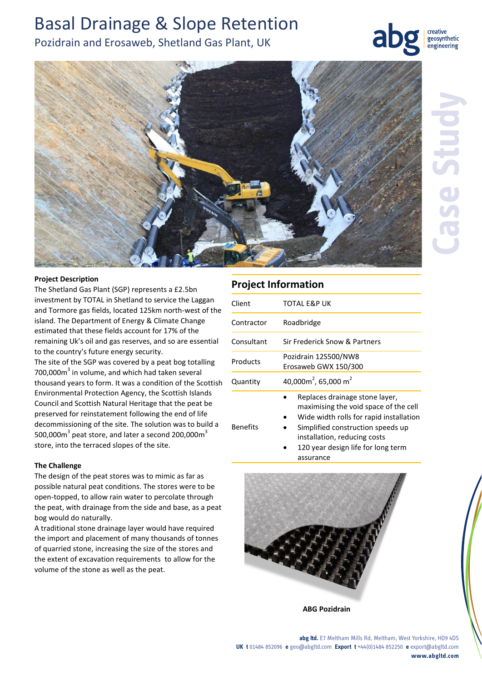# Basal Drainage & Slope Retention

Pozidrain and Erosaweb, Shetland Gas Plant, UK



creative geosynthetic engineering



### **Project Description**

The Shetland Gas Plant (SGP) represents a £2.5bn investment by TOTAL in Shetland to service the Laggan and Tormore gas fields, located 125km north-west of the island. The Department of Energy & Climate Change estimated that these fields account for 17% of the remaining Uk's oil and gas reserves, and so are essential to the country's future energy security.

The site of the SGP was covered by a peat bog totalling  $700,000$ m<sup>3</sup> in volume, and which had taken several thousand years to form. It was a condition of the Scottish Environmental Protection Agency, the Scottish Islands Council and Scottish Natural Heritage that the peat be preserved for reinstatement following the end of life decommissioning of the site. The solution was to build a 500,000 $m^3$  peat store, and later a second 200,000 $m^3$ store, into the terraced slopes of the site.

#### **The Challenge**

The design of the peat stores was to mimic as far as possible natural peat conditions. The stores were to be open-topped, to allow rain water to percolate through the peat, with drainage from the side and base, as a peat bog would do naturally.

A traditional stone drainage layer would have required the import and placement of many thousands of tonnes of quarried stone, increasing the size of the stores and the extent of excavation requirements to allow for the volume of the stone as well as the peat.

## **Project Information**

| Client          | TOTAL E&P UK                                                                                                                                                                                                                               |
|-----------------|--------------------------------------------------------------------------------------------------------------------------------------------------------------------------------------------------------------------------------------------|
| Contractor      | Roadbridge                                                                                                                                                                                                                                 |
| Consultant      | Sir Frederick Snow & Partners                                                                                                                                                                                                              |
| Products        | Pozidrain 12S500/NW8<br>Erosaweb GWX 150/300                                                                                                                                                                                               |
| Quantity        | 40,000 $m^2$ , 65,000 m <sup>2</sup>                                                                                                                                                                                                       |
| <b>Benefits</b> | Replaces drainage stone layer,<br>maximising the void space of the cell<br>Wide width rolls for rapid installation<br>Simplified construction speeds up<br>installation, reducing costs<br>120 year design life for long term<br>assurance |



**ABG Pozidrain** 

**abg ltd.** E7 Meltham Mills Rd, Meltham, West Yorkshire, HD9 4DS **UK t** 01484 852096 **e** geo@abgltd.com **Export t** +44(0)1484 852250 **e** export@abgltd.com **www.abgltd.com**